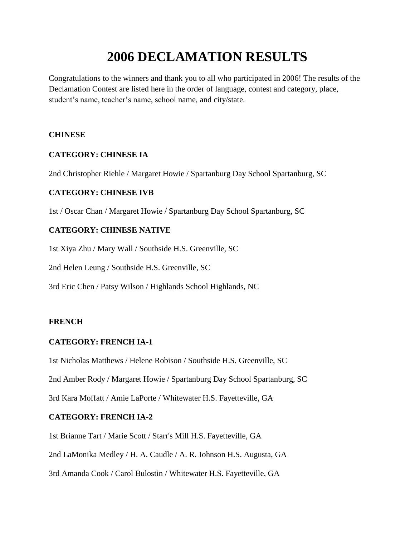# **2006 DECLAMATION RESULTS**

Congratulations to the winners and thank you to all who participated in 2006! The results of the Declamation Contest are listed here in the order of language, contest and category, place, student's name, teacher's name, school name, and city/state.

#### **CHINESE**

# **CATEGORY: CHINESE IA**

2nd Christopher Riehle / Margaret Howie / Spartanburg Day School Spartanburg, SC

# **CATEGORY: CHINESE IVB**

1st / Oscar Chan / Margaret Howie / Spartanburg Day School Spartanburg, SC

# **CATEGORY: CHINESE NATIVE**

1st Xiya Zhu / Mary Wall / Southside H.S. Greenville, SC

2nd Helen Leung / Southside H.S. Greenville, SC

3rd Eric Chen / Patsy Wilson / Highlands School Highlands, NC

# **FRENCH**

# **CATEGORY: FRENCH IA-1**

1st Nicholas Matthews / Helene Robison / Southside H.S. Greenville, SC

2nd Amber Rody / Margaret Howie / Spartanburg Day School Spartanburg, SC

3rd Kara Moffatt / Amie LaPorte / Whitewater H.S. Fayetteville, GA

# **CATEGORY: FRENCH IA-2**

1st Brianne Tart / Marie Scott / Starr's Mill H.S. Fayetteville, GA

2nd LaMonika Medley / H. A. Caudle / A. R. Johnson H.S. Augusta, GA

3rd Amanda Cook / Carol Bulostin / Whitewater H.S. Fayetteville, GA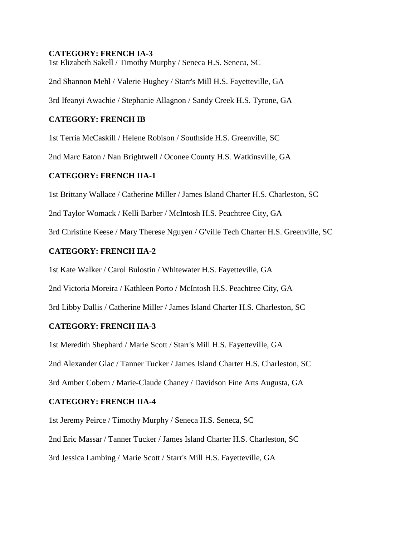#### **CATEGORY: FRENCH IA-3**

1st Elizabeth Sakell / Timothy Murphy / Seneca H.S. Seneca, SC

2nd Shannon Mehl / Valerie Hughey / Starr's Mill H.S. Fayetteville, GA

3rd Ifeanyi Awachie / Stephanie Allagnon / Sandy Creek H.S. Tyrone, GA

#### **CATEGORY: FRENCH IB**

1st Terria McCaskill / Helene Robison / Southside H.S. Greenville, SC

2nd Marc Eaton / Nan Brightwell / Oconee County H.S. Watkinsville, GA

#### **CATEGORY: FRENCH IIA-1**

1st Brittany Wallace / Catherine Miller / James Island Charter H.S. Charleston, SC

2nd Taylor Womack / Kelli Barber / McIntosh H.S. Peachtree City, GA

3rd Christine Keese / Mary Therese Nguyen / G'ville Tech Charter H.S. Greenville, SC

# **CATEGORY: FRENCH IIA-2**

1st Kate Walker / Carol Bulostin / Whitewater H.S. Fayetteville, GA

2nd Victoria Moreira / Kathleen Porto / McIntosh H.S. Peachtree City, GA

3rd Libby Dallis / Catherine Miller / James Island Charter H.S. Charleston, SC

# **CATEGORY: FRENCH IIA-3**

1st Meredith Shephard / Marie Scott / Starr's Mill H.S. Fayetteville, GA

2nd Alexander Glac / Tanner Tucker / James Island Charter H.S. Charleston, SC

3rd Amber Cobern / Marie-Claude Chaney / Davidson Fine Arts Augusta, GA

# **CATEGORY: FRENCH IIA-4**

1st Jeremy Peirce / Timothy Murphy / Seneca H.S. Seneca, SC 2nd Eric Massar / Tanner Tucker / James Island Charter H.S. Charleston, SC 3rd Jessica Lambing / Marie Scott / Starr's Mill H.S. Fayetteville, GA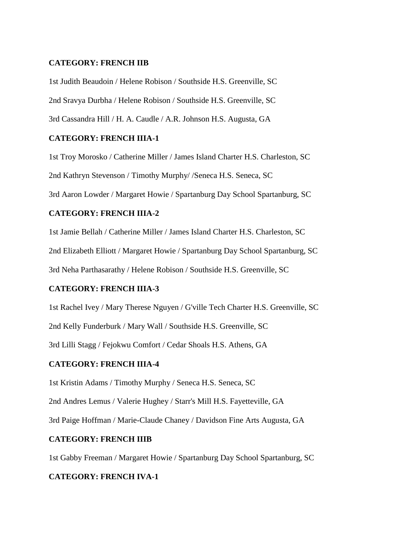#### **CATEGORY: FRENCH IIB**

1st Judith Beaudoin / Helene Robison / Southside H.S. Greenville, SC 2nd Sravya Durbha / Helene Robison / Southside H.S. Greenville, SC 3rd Cassandra Hill / H. A. Caudle / A.R. Johnson H.S. Augusta, GA

#### **CATEGORY: FRENCH IIIA-1**

1st Troy Morosko / Catherine Miller / James Island Charter H.S. Charleston, SC 2nd Kathryn Stevenson / Timothy Murphy/ /Seneca H.S. Seneca, SC 3rd Aaron Lowder / Margaret Howie / Spartanburg Day School Spartanburg, SC

#### **CATEGORY: FRENCH IIIA-2**

1st Jamie Bellah / Catherine Miller / James Island Charter H.S. Charleston, SC 2nd Elizabeth Elliott / Margaret Howie / Spartanburg Day School Spartanburg, SC 3rd Neha Parthasarathy / Helene Robison / Southside H.S. Greenville, SC

#### **CATEGORY: FRENCH IIIA-3**

1st Rachel Ivey / Mary Therese Nguyen / G'ville Tech Charter H.S. Greenville, SC

2nd Kelly Funderburk / Mary Wall / Southside H.S. Greenville, SC

3rd Lilli Stagg / Fejokwu Comfort / Cedar Shoals H.S. Athens, GA

#### **CATEGORY: FRENCH IIIA-4**

1st Kristin Adams / Timothy Murphy / Seneca H.S. Seneca, SC

2nd Andres Lemus / Valerie Hughey / Starr's Mill H.S. Fayetteville, GA

3rd Paige Hoffman / Marie-Claude Chaney / Davidson Fine Arts Augusta, GA

#### **CATEGORY: FRENCH IIIB**

1st Gabby Freeman / Margaret Howie / Spartanburg Day School Spartanburg, SC

#### **CATEGORY: FRENCH IVA-1**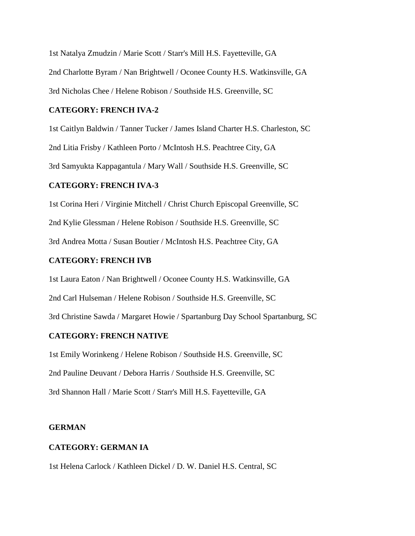1st Natalya Zmudzin / Marie Scott / Starr's Mill H.S. Fayetteville, GA 2nd Charlotte Byram / Nan Brightwell / Oconee County H.S. Watkinsville, GA 3rd Nicholas Chee / Helene Robison / Southside H.S. Greenville, SC

#### **CATEGORY: FRENCH IVA-2**

1st Caitlyn Baldwin / Tanner Tucker / James Island Charter H.S. Charleston, SC 2nd Litia Frisby / Kathleen Porto / McIntosh H.S. Peachtree City, GA 3rd Samyukta Kappagantula / Mary Wall / Southside H.S. Greenville, SC

# **CATEGORY: FRENCH IVA-3**

1st Corina Heri / Virginie Mitchell / Christ Church Episcopal Greenville, SC 2nd Kylie Glessman / Helene Robison / Southside H.S. Greenville, SC 3rd Andrea Motta / Susan Boutier / McIntosh H.S. Peachtree City, GA

# **CATEGORY: FRENCH IVB**

1st Laura Eaton / Nan Brightwell / Oconee County H.S. Watkinsville, GA 2nd Carl Hulseman / Helene Robison / Southside H.S. Greenville, SC 3rd Christine Sawda / Margaret Howie / Spartanburg Day School Spartanburg, SC

# **CATEGORY: FRENCH NATIVE**

1st Emily Worinkeng / Helene Robison / Southside H.S. Greenville, SC 2nd Pauline Deuvant / Debora Harris / Southside H.S. Greenville, SC 3rd Shannon Hall / Marie Scott / Starr's Mill H.S. Fayetteville, GA

#### **GERMAN**

# **CATEGORY: GERMAN IA**

1st Helena Carlock / Kathleen Dickel / D. W. Daniel H.S. Central, SC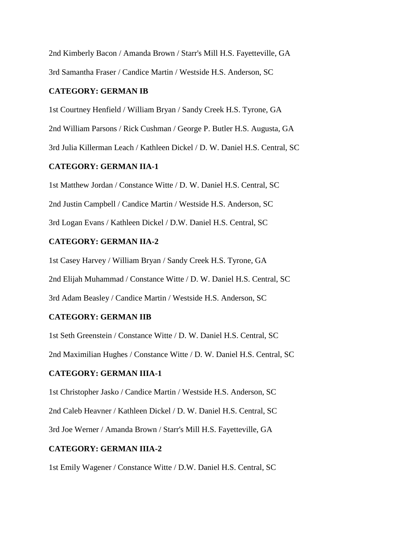2nd Kimberly Bacon / Amanda Brown / Starr's Mill H.S. Fayetteville, GA 3rd Samantha Fraser / Candice Martin / Westside H.S. Anderson, SC

#### **CATEGORY: GERMAN IB**

1st Courtney Henfield / William Bryan / Sandy Creek H.S. Tyrone, GA 2nd William Parsons / Rick Cushman / George P. Butler H.S. Augusta, GA 3rd Julia Killerman Leach / Kathleen Dickel / D. W. Daniel H.S. Central, SC

#### **CATEGORY: GERMAN IIA-1**

1st Matthew Jordan / Constance Witte / D. W. Daniel H.S. Central, SC 2nd Justin Campbell / Candice Martin / Westside H.S. Anderson, SC 3rd Logan Evans / Kathleen Dickel / D.W. Daniel H.S. Central, SC

# **CATEGORY: GERMAN IIA-2**

1st Casey Harvey / William Bryan / Sandy Creek H.S. Tyrone, GA 2nd Elijah Muhammad / Constance Witte / D. W. Daniel H.S. Central, SC 3rd Adam Beasley / Candice Martin / Westside H.S. Anderson, SC

#### **CATEGORY: GERMAN IIB**

1st Seth Greenstein / Constance Witte / D. W. Daniel H.S. Central, SC 2nd Maximilian Hughes / Constance Witte / D. W. Daniel H.S. Central, SC

# **CATEGORY: GERMAN IIIA-1**

1st Christopher Jasko / Candice Martin / Westside H.S. Anderson, SC 2nd Caleb Heavner / Kathleen Dickel / D. W. Daniel H.S. Central, SC 3rd Joe Werner / Amanda Brown / Starr's Mill H.S. Fayetteville, GA

# **CATEGORY: GERMAN IIIA-2**

1st Emily Wagener / Constance Witte / D.W. Daniel H.S. Central, SC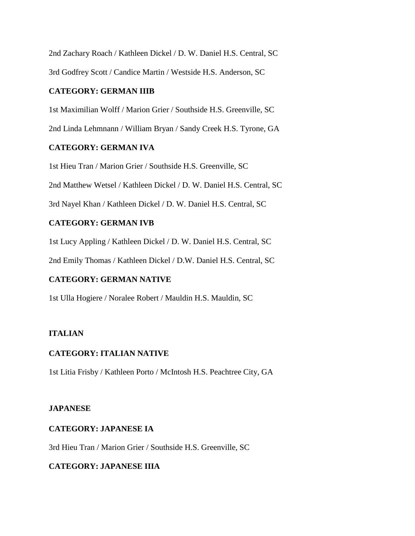2nd Zachary Roach / Kathleen Dickel / D. W. Daniel H.S. Central, SC 3rd Godfrey Scott / Candice Martin / Westside H.S. Anderson, SC

# **CATEGORY: GERMAN IIIB**

1st Maximilian Wolff / Marion Grier / Southside H.S. Greenville, SC

2nd Linda Lehmnann / William Bryan / Sandy Creek H.S. Tyrone, GA

# **CATEGORY: GERMAN IVA**

1st Hieu Tran / Marion Grier / Southside H.S. Greenville, SC

2nd Matthew Wetsel / Kathleen Dickel / D. W. Daniel H.S. Central, SC

3rd Nayel Khan / Kathleen Dickel / D. W. Daniel H.S. Central, SC

# **CATEGORY: GERMAN IVB**

1st Lucy Appling / Kathleen Dickel / D. W. Daniel H.S. Central, SC

2nd Emily Thomas / Kathleen Dickel / D.W. Daniel H.S. Central, SC

# **CATEGORY: GERMAN NATIVE**

1st Ulla Hogiere / Noralee Robert / Mauldin H.S. Mauldin, SC

# **ITALIAN**

# **CATEGORY: ITALIAN NATIVE**

1st Litia Frisby / Kathleen Porto / McIntosh H.S. Peachtree City, GA

# **JAPANESE**

# **CATEGORY: JAPANESE IA**

3rd Hieu Tran / Marion Grier / Southside H.S. Greenville, SC

# **CATEGORY: JAPANESE IIIA**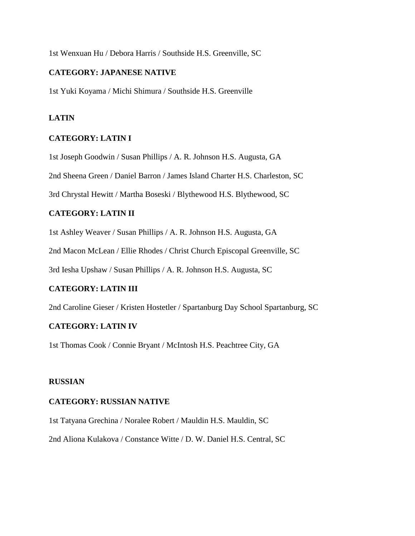1st Wenxuan Hu / Debora Harris / Southside H.S. Greenville, SC

#### **CATEGORY: JAPANESE NATIVE**

1st Yuki Koyama / Michi Shimura / Southside H.S. Greenville

#### **LATIN**

#### **CATEGORY: LATIN I**

1st Joseph Goodwin / Susan Phillips / A. R. Johnson H.S. Augusta, GA

2nd Sheena Green / Daniel Barron / James Island Charter H.S. Charleston, SC

3rd Chrystal Hewitt / Martha Boseski / Blythewood H.S. Blythewood, SC

# **CATEGORY: LATIN II**

1st Ashley Weaver / Susan Phillips / A. R. Johnson H.S. Augusta, GA

2nd Macon McLean / Ellie Rhodes / Christ Church Episcopal Greenville, SC

3rd Iesha Upshaw / Susan Phillips / A. R. Johnson H.S. Augusta, SC

#### **CATEGORY: LATIN III**

2nd Caroline Gieser / Kristen Hostetler / Spartanburg Day School Spartanburg, SC

#### **CATEGORY: LATIN IV**

1st Thomas Cook / Connie Bryant / McIntosh H.S. Peachtree City, GA

#### **RUSSIAN**

#### **CATEGORY: RUSSIAN NATIVE**

1st Tatyana Grechina / Noralee Robert / Mauldin H.S. Mauldin, SC

2nd Aliona Kulakova / Constance Witte / D. W. Daniel H.S. Central, SC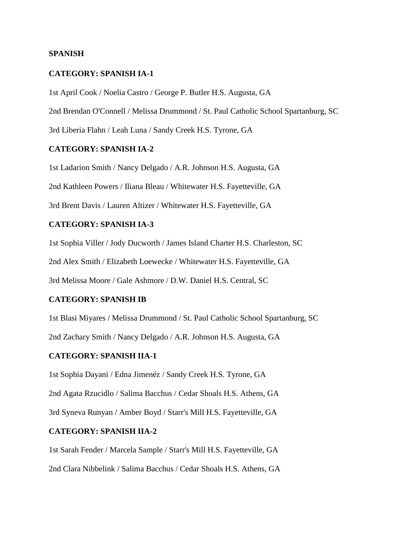#### **SPANISH**

#### **CATEGORY: SPANISH IA-1**

1st April Cook / Noelia Castro / George P. Butler H.S. Augusta, GA

2nd Brendan O'Connell / Melissa Drummond / St. Paul Catholic School Spartanburg, SC

3rd Liberia Flahn / Leah Luna / Sandy Creek H.S. Tyrone, GA

#### **CATEGORY: SPANISH IA-2**

1st Ladarion Smith / Nancy Delgado / A.R. Johnson H.S. Augusta, GA 2nd Kathleen Powers / Iliana Bleau / Whitewater H.S. Fayetteville, GA 3rd Brent Davis / Lauren Altizer / Whitewater H.S. Fayetteville, GA

#### **CATEGORY: SPANISH IA-3**

1st Sophia Viller / Jody Ducworth / James Island Charter H.S. Charleston, SC

2nd Alex Smith / Elizabeth Loewecke / Whitewater H.S. Fayetteville, GA

3rd Melissa Moore / Gale Ashmore / D.W. Daniel H.S. Central, SC

#### **CATEGORY: SPANISH IB**

1st Blasi Miyares / Melissa Drummond / St. Paul Catholic School Spartanburg, SC 2nd Zachary Smith / Nancy Delgado / A.R. Johnson H.S. Augusta, GA

#### **CATEGORY: SPANISH IIA-1**

1st Sophia Dayani / Edna Jimenéz / Sandy Creek H.S. Tyrone, GA 2nd Agata Rzucidlo / Salima Bacchus / Cedar Shoals H.S. Athens, GA 3rd Syneva Runyan / Amber Boyd / Starr's Mill H.S. Fayetteville, GA

#### **CATEGORY: SPANISH IIA-2**

1st Sarah Fender / Marcela Sample / Starr's Mill H.S. Fayetteville, GA 2nd Clara Nibbelink / Salima Bacchus / Cedar Shoals H.S. Athens, GA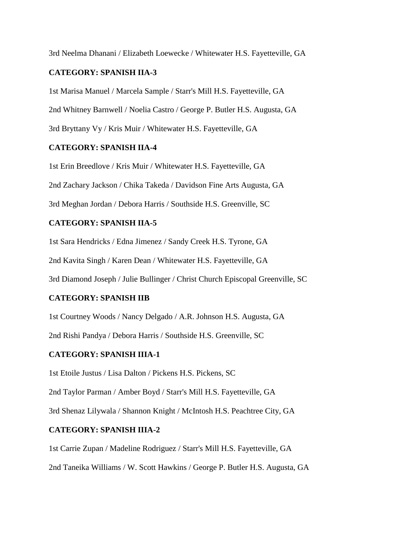3rd Neelma Dhanani / Elizabeth Loewecke / Whitewater H.S. Fayetteville, GA

# **CATEGORY: SPANISH IIA-3**

1st Marisa Manuel / Marcela Sample / Starr's Mill H.S. Fayetteville, GA 2nd Whitney Barnwell / Noelia Castro / George P. Butler H.S. Augusta, GA 3rd Bryttany Vy / Kris Muir / Whitewater H.S. Fayetteville, GA

# **CATEGORY: SPANISH IIA-4**

1st Erin Breedlove / Kris Muir / Whitewater H.S. Fayetteville, GA 2nd Zachary Jackson / Chika Takeda / Davidson Fine Arts Augusta, GA 3rd Meghan Jordan / Debora Harris / Southside H.S. Greenville, SC

# **CATEGORY: SPANISH IIA-5**

1st Sara Hendricks / Edna Jimenez / Sandy Creek H.S. Tyrone, GA

2nd Kavita Singh / Karen Dean / Whitewater H.S. Fayetteville, GA

3rd Diamond Joseph / Julie Bullinger / Christ Church Episcopal Greenville, SC

# **CATEGORY: SPANISH IIB**

1st Courtney Woods / Nancy Delgado / A.R. Johnson H.S. Augusta, GA 2nd Rishi Pandya / Debora Harris / Southside H.S. Greenville, SC

# **CATEGORY: SPANISH IIIA-1**

1st Etoile Justus / Lisa Dalton / Pickens H.S. Pickens, SC

2nd Taylor Parman / Amber Boyd / Starr's Mill H.S. Fayetteville, GA

3rd Shenaz Lilywala / Shannon Knight / McIntosh H.S. Peachtree City, GA

# **CATEGORY: SPANISH IIIA-2**

1st Carrie Zupan / Madeline Rodriguez / Starr's Mill H.S. Fayetteville, GA 2nd Taneika Williams / W. Scott Hawkins / George P. Butler H.S. Augusta, GA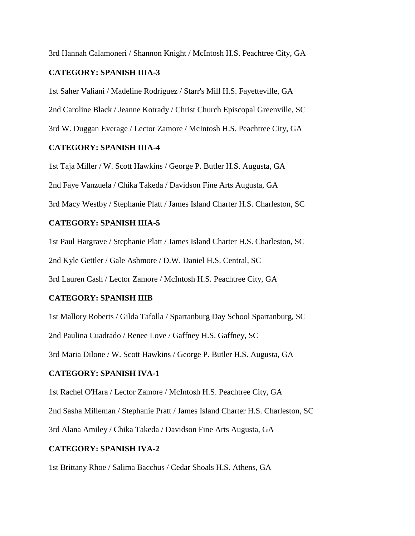3rd Hannah Calamoneri / Shannon Knight / McIntosh H.S. Peachtree City, GA

# **CATEGORY: SPANISH IIIA-3**

1st Saher Valiani / Madeline Rodriguez / Starr's Mill H.S. Fayetteville, GA 2nd Caroline Black / Jeanne Kotrady / Christ Church Episcopal Greenville, SC 3rd W. Duggan Everage / Lector Zamore / McIntosh H.S. Peachtree City, GA

# **CATEGORY: SPANISH IIIA-4**

1st Taja Miller / W. Scott Hawkins / George P. Butler H.S. Augusta, GA 2nd Faye Vanzuela / Chika Takeda / Davidson Fine Arts Augusta, GA 3rd Macy Westby / Stephanie Platt / James Island Charter H.S. Charleston, SC

# **CATEGORY: SPANISH IIIA-5**

1st Paul Hargrave / Stephanie Platt / James Island Charter H.S. Charleston, SC 2nd Kyle Gettler / Gale Ashmore / D.W. Daniel H.S. Central, SC

3rd Lauren Cash / Lector Zamore / McIntosh H.S. Peachtree City, GA

# **CATEGORY: SPANISH IIIB**

1st Mallory Roberts / Gilda Tafolla / Spartanburg Day School Spartanburg, SC 2nd Paulina Cuadrado / Renee Love / Gaffney H.S. Gaffney, SC

3rd Maria Dilone / W. Scott Hawkins / George P. Butler H.S. Augusta, GA

# **CATEGORY: SPANISH IVA-1**

1st Rachel O'Hara / Lector Zamore / McIntosh H.S. Peachtree City, GA

2nd Sasha Milleman / Stephanie Pratt / James Island Charter H.S. Charleston, SC

3rd Alana Amiley / Chika Takeda / Davidson Fine Arts Augusta, GA

# **CATEGORY: SPANISH IVA-2**

1st Brittany Rhoe / Salima Bacchus / Cedar Shoals H.S. Athens, GA